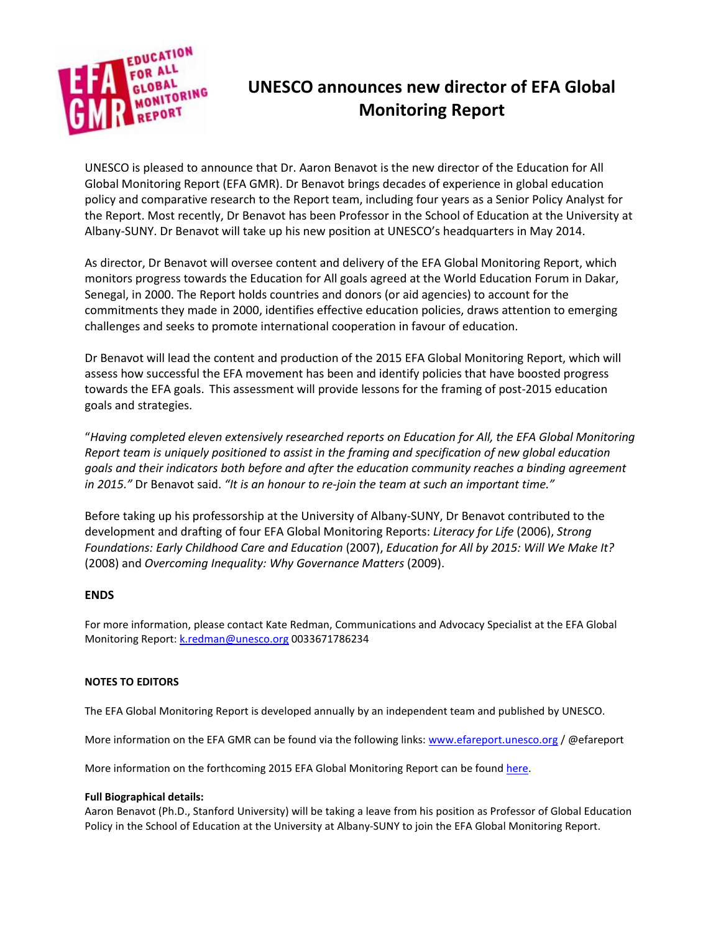

## **UNESCO announces new director of EFA Global Monitoring Report**

UNESCO is pleased to announce that Dr. Aaron Benavot is the new director of the Education for All Global Monitoring Report (EFA GMR). Dr Benavot brings decades of experience in global education policy and comparative research to the Report team, including four years as a Senior Policy Analyst for the Report. Most recently, Dr Benavot has been Professor in the School of Education at the University at Albany-SUNY. Dr Benavot will take up his new position at UNESCO's headquarters in May 2014.

As director, Dr Benavot will oversee content and delivery of the EFA Global Monitoring Report, which monitors progress towards the Education for All goals agreed at the World Education Forum in Dakar, Senegal, in 2000. The Report holds countries and donors (or aid agencies) to account for the commitments they made in 2000, identifies effective education policies, draws attention to emerging challenges and seeks to promote international cooperation in favour of education.

Dr Benavot will lead the content and production of the 2015 EFA Global Monitoring Report, which will assess how successful the EFA movement has been and identify policies that have boosted progress towards the EFA goals. This assessment will provide lessons for the framing of post-2015 education goals and strategies.

"*Having completed eleven extensively researched reports on Education for All, the EFA Global Monitoring Report team is uniquely positioned to assist in the framing and specification of new global education goals and their indicators both before and after the education community reaches a binding agreement in 2015."* Dr Benavot said. *"It is an honour to re-join the team at such an important time."*

Before taking up his professorship at the University of Albany-SUNY, Dr Benavot contributed to the development and drafting of four EFA Global Monitoring Reports: *Literacy for Life* (2006), *Strong Foundations: Early Childhood Care and Education* (2007), *Education for All by 2015: Will We Make It?*  (2008) and *Overcoming Inequality: Why Governance Matters* (2009).

## **ENDS**

For more information, please contact Kate Redman, Communications and Advocacy Specialist at the EFA Global Monitoring Report[: k.redman@unesco.org](mailto:k.redman@unesco.org) 0033671786234

## **NOTES TO EDITORS**

The EFA Global Monitoring Report is developed annually by an independent team and published by UNESCO.

More information on the EFA GMR can be found via the following links: [www.efareport.unesco.org](http://www.efareport.unesco.org/) / @efareport

More information on the forthcoming 2015 EFA Global Monitoring Report can be found [here.](http://www.unesco.org/new/en/education/themes/leading-the-international-agenda/efareport/reports/2015/)

## **Full Biographical details:**

Aaron Benavot (Ph.D., Stanford University) will be taking a leave from his position as Professor of Global Education Policy in the School of Education at the University at Albany-SUNY to join the EFA Global Monitoring Report.